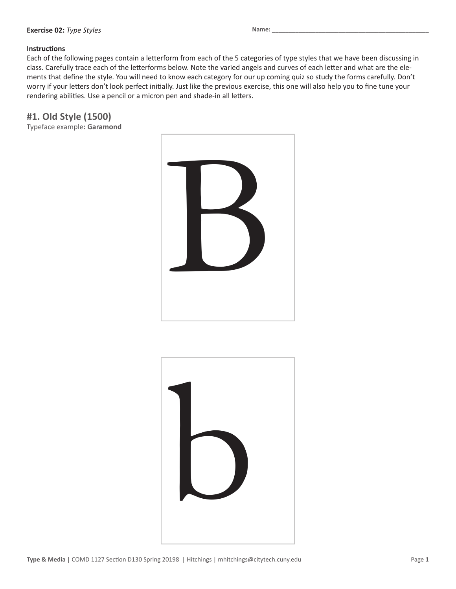#### **Exercise 02:** *Type Styles*

#### **Instructions**

Each of the following pages contain a letterform from each of the 5 categories of type styles that we have been discussing in class. Carefully trace each of the letterforms below. Note the varied angels and curves of each letter and what are the elements that define the style. You will need to know each category for our up coming quiz so study the forms carefully. Don't worry if your letters don't look perfect initially. Just like the previous exercise, this one will also help you to fine tune your rendering abilities. Use a pencil or a micron pen and shade-in all letters.

**#1. Old Style (1500)**

Typeface example**: Garamond**



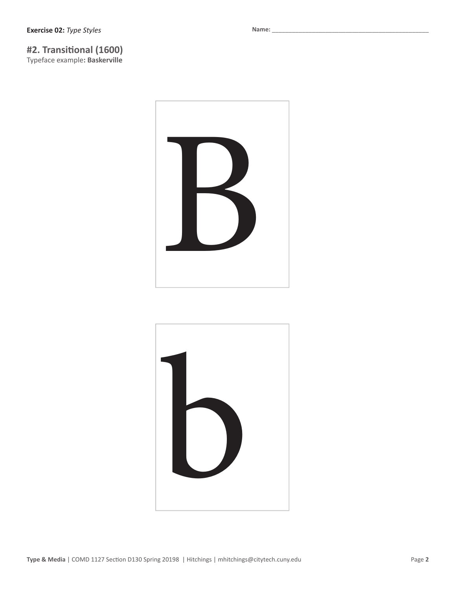# **#2. Transitional (1600)**

Typeface example**: Baskerville**



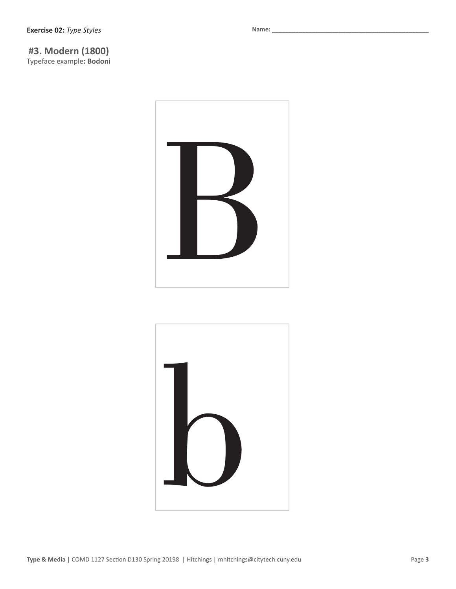# **#3. Modern (1800)**

Typeface example**: Bodoni**

Name: \_



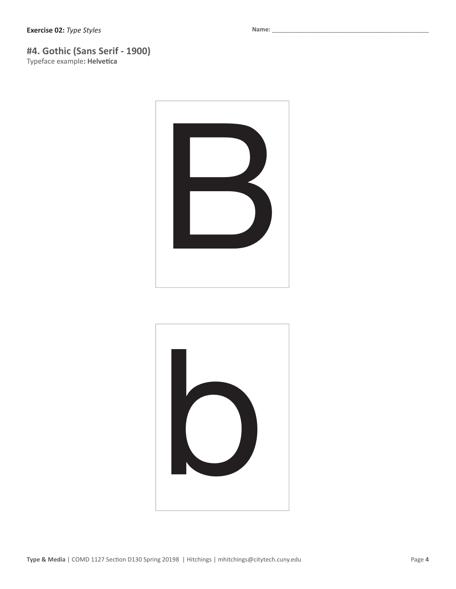### **#4. Gothic (Sans Serif - 1900)**

Typeface example**: Helvetica**